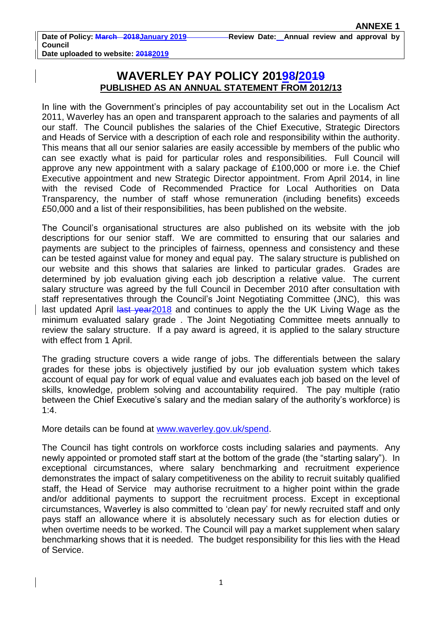## **WAVERLEY PAY POLICY 20198/2019 PUBLISHED AS AN ANNUAL STATEMENT FROM 2012/13**

In line with the Government's principles of pay accountability set out in the Localism Act 2011, Waverley has an open and transparent approach to the salaries and payments of all our staff. The Council publishes the salaries of the Chief Executive, Strategic Directors and Heads of Service with a description of each role and responsibility within the authority. This means that all our senior salaries are easily accessible by members of the public who can see exactly what is paid for particular roles and responsibilities. Full Council will approve any new appointment with a salary package of £100,000 or more i.e. the Chief Executive appointment and new Strategic Director appointment. From April 2014, in line with the revised Code of Recommended Practice for Local Authorities on Data Transparency, the number of staff whose remuneration (including benefits) exceeds £50,000 and a list of their responsibilities, has been published on the website.

The Council's organisational structures are also published on its website with the job descriptions for our senior staff. We are committed to ensuring that our salaries and payments are subject to the principles of fairness, openness and consistency and these can be tested against value for money and equal pay. The salary structure is published on our website and this shows that salaries are linked to particular grades. Grades are determined by job evaluation giving each job description a relative value. The current salary structure was agreed by the full Council in December 2010 after consultation with staff representatives through the Council's Joint Negotiating Committee (JNC), this was last updated April last year 2018 and continues to apply the the UK Living Wage as the minimum evaluated salary grade . The Joint Negotiating Committee meets annually to review the salary structure. If a pay award is agreed, it is applied to the salary structure with effect from 1 April.

The grading structure covers a wide range of jobs. The differentials between the salary grades for these jobs is objectively justified by our job evaluation system which takes account of equal pay for work of equal value and evaluates each job based on the level of skills, knowledge, problem solving and accountability required. The pay multiple (ratio between the Chief Executive's salary and the median salary of the authority's workforce) is 1:4.

More details can be found at [www.waverley.gov.uk/spend.](http://www.waverley.gov.uk/spend)

The Council has tight controls on workforce costs including salaries and payments. Any newly appointed or promoted staff start at the bottom of the grade (the "starting salary"). In exceptional circumstances, where salary benchmarking and recruitment experience demonstrates the impact of salary competitiveness on the ability to recruit suitably qualified staff, the Head of Service may authorise recruitment to a higher point within the grade and/or additional payments to support the recruitment process. Except in exceptional circumstances, Waverley is also committed to 'clean pay' for newly recruited staff and only pays staff an allowance where it is absolutely necessary such as for election duties or when overtime needs to be worked. The Council will pay a market supplement when salary benchmarking shows that it is needed. The budget responsibility for this lies with the Head of Service.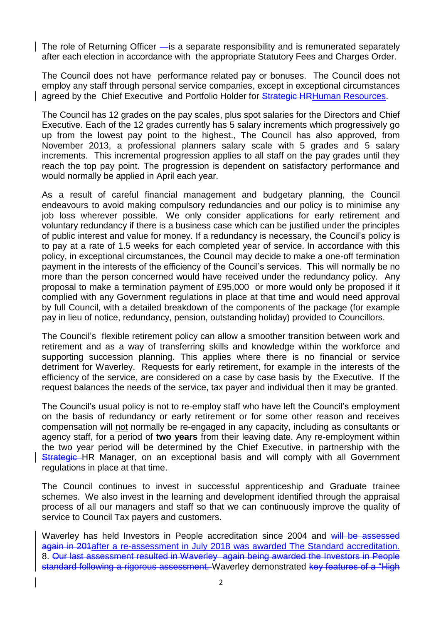The role of Returning Officer - is a separate responsibility and is remunerated separately after each election in accordance with the appropriate Statutory Fees and Charges Order.

The Council does not have performance related pay or bonuses. The Council does not employ any staff through personal service companies, except in exceptional circumstances agreed by the Chief Executive and Portfolio Holder for Strategic HRHuman Resources.

The Council has 12 grades on the pay scales, plus spot salaries for the Directors and Chief Executive. Each of the 12 grades currently has 5 salary increments which progressively go up from the lowest pay point to the highest., The Council has also approved, from November 2013, a professional planners salary scale with 5 grades and 5 salary increments. This incremental progression applies to all staff on the pay grades until they reach the top pay point. The progression is dependent on satisfactory performance and would normally be applied in April each year.

As a result of careful financial management and budgetary planning, the Council endeavours to avoid making compulsory redundancies and our policy is to minimise any job loss wherever possible. We only consider applications for early retirement and voluntary redundancy if there is a business case which can be justified under the principles of public interest and value for money. If a redundancy is necessary, the Council's policy is to pay at a rate of 1.5 weeks for each completed year of service. In accordance with this policy, in exceptional circumstances, the Council may decide to make a one-off termination payment in the interests of the efficiency of the Council's services. This will normally be no more than the person concerned would have received under the redundancy policy. Any proposal to make a termination payment of £95,000 or more would only be proposed if it complied with any Government regulations in place at that time and would need approval by full Council, with a detailed breakdown of the components of the package (for example pay in lieu of notice, redundancy, pension, outstanding holiday) provided to Councillors.

The Council's flexible retirement policy can allow a smoother transition between work and retirement and as a way of transferring skills and knowledge within the workforce and supporting succession planning. This applies where there is no financial or service detriment for Waverley. Requests for early retirement, for example in the interests of the efficiency of the service, are considered on a case by case basis by the Executive. If the request balances the needs of the service, tax payer and individual then it may be granted.

The Council's usual policy is not to re-employ staff who have left the Council's employment on the basis of redundancy or early retirement or for some other reason and receives compensation will not normally be re-engaged in any capacity, including as consultants or agency staff, for a period of **two years** from their leaving date. Any re-employment within the two year period will be determined by the Chief Executive, in partnership with the Strategic HR Manager, on an exceptional basis and will comply with all Government regulations in place at that time.

The Council continues to invest in successful apprenticeship and Graduate trainee schemes. We also invest in the learning and development identified through the appraisal process of all our managers and staff so that we can continuously improve the quality of service to Council Tax payers and customers.

Waverley has held Investors in People accreditation since 2004 and will be assessed again in 201after a re-assessment in July 2018 was awarded The Standard accreditation. 8. Our last assessment resulted in Waverley again being awarded the Investors in People standard following a rigorous assessment. Waverley demonstrated key features of a "High